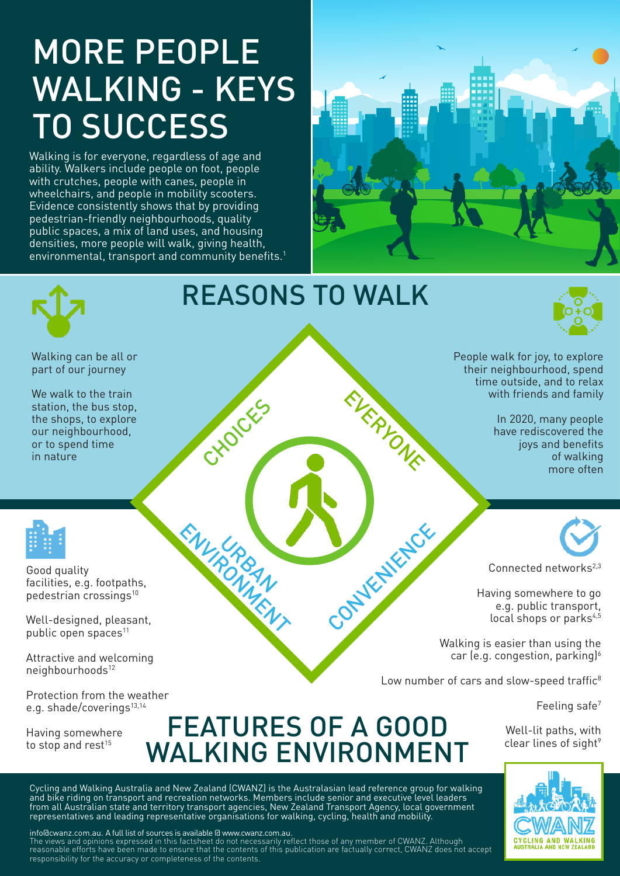## MORE PEOPLE WALKING - KEYS TO SUCCESS

Walking is for everyone, regardless of age and ability. Walkers include people on foot, people with crutches, people with canes, people in wheelchairs, and people in mobility scooters. Evidence consistently shows that by providing pedestrian-friendly neighbourhoods, quality public spaces, a mix of land uses, and housing densities, more people will walk, giving health, environmental, transport and community benefits.<sup>1</sup>





Feeling safe7

Well-lit paths, with clear lines of sight<sup>9</sup>



e.g. shade/coverings<sup>13,14</sup> FEATURES OF A GOOD WALKING ENVIRONMENT

Cycling and Walking Australia and New Zealand (CWANZ) is the Australasian lead reference group for walking and bike riding on transport and recreation networks. Members include senior and executive level leaders from all Australian state and territory transport agencies, New Zealand Transport Agency, local government representatives and leading representative organisations for walking, cycling, health and mobility.

info@cwanz.com.au. A full list of sources is available @ www.cwanz.com.au.

Having somewhere to stop and rest $15$ 

The views and opinions expressed in this factsheet do not necessarily reflect those of any member of CWANZ. Although reasonable efforts have been made to ensure that the contents of this publication are factually correct, CWANZ does not accept responsibility for the accuracy or completeness of the contents.